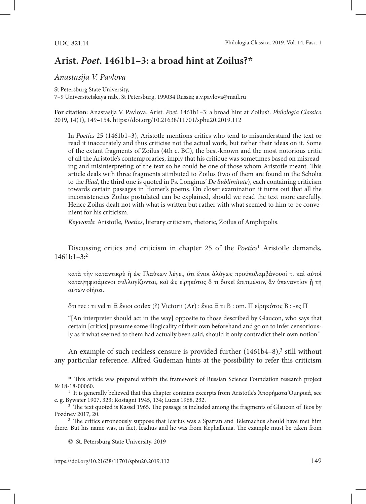## **Arist.** *Poet***. 1461b1–3: a broad hint at Zoilus?\***

*Anastasija V. Pavlova*

St Petersburg State University, 7–9 Universitetskaya nab., St Petersburg, 199034 Russia; a.v.pavlova@mail.ru

**For citation:** Anastasija V. Pavlova. Arist. *Poet*. 1461b1–3: a broad hint at Zoilus?. *Philologia Classica* 2019, 14(1), 149–154. <https://doi.org/10.21638/11701/spbu20.2019.112>

In *Poetics* 25 (1461b1–3), Aristotle mentions critics who tend to misunderstand the text or read it inaccurately and thus criticise not the actual work, but rather their ideas on it. Some of the extant fragments of Zoilus (4th c. BC), the best-known and the most notorious critic of all the Aristotle's contemporaries, imply that his critique was sometimes based on misreading and misinterpreting of the text so he could be one of those whom Aristotle meant. This article deals with three fragments attributed to Zoilus (two of them are found in the Scholia to the *Iliad*, the third one is quoted in Ps. Longinus' *De Sublimitate*), each containing criticism towards certain passages in Homer's poems. On closer examination it turns out that all the inconsistencies Zoilus postulated can be explained, should we read the text more carefully. Hence Zoilus dealt not with what is written but rather with what seemed to him to be convenient for his criticism.

*Keywords*: Aristotle, *Poetics*, literary criticism, rhetoric, Zoilus of Amphipolis.

Discussing critics and criticism in chapter 25 of the *Poetics*<sup>1</sup> Aristotle demands,  $1461b1-3<sup>2</sup>$ 

κατὰ τὴν καταντικρὺ ἢ ὡς Γλαύκων λέγει, ὅτι ἔνιοι ἀλόγως προϋπολαμβάνουσί τι καὶ αὐτοὶ καταψηφισάμενοι συλλογίζονται, καὶ ὡς εἰρηκότος ὅ τι δοκεῖ ἐπιτιμῶσιν, ἂν ὑπεναντίον ἦ τῆ αὑτῶν οἰήσει.

ὅτι rec : τι vel τί Ξ ἔνιοι codex (?) Victorii (Ar) : ἔνια Ξ τι B : om. Π εἰρηκότος B : -ες Π

"[An interpreter should act in the way] opposite to those described by Glaucon, who says that certain [critics] presume some illogicality of their own beforehand and go on to infer censoriously as if what seemed to them had actually been said, should it only contradict their own notion."

An example of such reckless censure is provided further (1461b4-8),<sup>3</sup> still without any particular reference. Alfred Gudeman hints at the possibility to refer this criticism

<sup>\*</sup> This article was prepared within the framework of Russian Science Foundation research project № 18-18-00060.

<sup>&</sup>lt;sup>1</sup> It is generally believed that this chapter contains excerpts from Aristotle's Ἀπορήματα Ὁμηρικά, see<br>e.g. Bywater 1907, 323; Rostagni 1945, 134; Lucas 1968, 232.

<sup>&</sup>lt;sup>2</sup> The text quoted is Kassel 1965. The passage is included among the fragments of Glaucon of Teos by Pozdnev 2017, 20.

<sup>&</sup>lt;sup>3</sup> The critics erroneously suppose that Icarius was a Spartan and Telemachus should have met him there. But his name was, in fact, Icadius and he was from Kephallenia. The example must be taken from

<sup>©</sup> St. Petersburg State University, 2019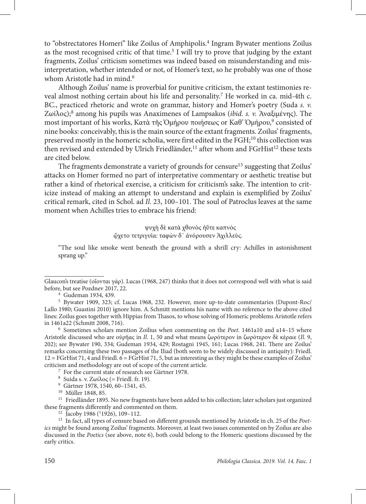to "obstrectatores Homeri" like Zoilus of Amphipolis.<sup>4</sup> Ingram Bywater mentions Zoilus as the most recognised critic of that time.<sup>5</sup> I will try to prove that judging by the extant fragments, Zoilus' criticism sometimes was indeed based on misunderstanding and misinterpretation, whether intended or not, of Homer's text, so he probably was one of those whom Aristotle had in mind.<sup>6</sup>

Although Zoilus' name is proverbial for punitive criticism, the extant testimonies reveal almost nothing certain about his life and personality.<sup>7</sup> He worked in ca. mid-4th c. BC., practiced rhetoric and wrote on grammar, history and Homer's poetry (Suda *s. v.* Ζωίλος);8 among his pupils was Anaximenes of Lampsakos (*ibid. s. v.* Ἀναξιμένης). The most important of his works, Κατὰ τῆς Ὀμήρου ποιήσεως or Καθ' Ὁμήρου,<sup>9</sup> consisted of nine books: conceivably, this is the main source of the extant fragments. Zoilus' fragments, preserved mostly in the homeric scholia, were first edited in the FGH;<sup>10</sup> this collection was then revised and extended by Ulrich Friedländer,<sup>11</sup> after whom and FGrHist<sup>12</sup> these texts are cited below.

The fragments demonstrate a variety of grounds for censure<sup>13</sup> suggesting that Zoilus' attacks on Homer formed no part of interpretative commentary or aesthetic treatise but rather a kind of rhetorical exercise, a criticism for criticism's sake. The intention to criticize instead of making an attempt to understand and explain is exemplified by Zoilus' critical remark, cited in Schol. ad *Il.* 23, 100–101. The soul of Patroclus leaves at the same moment when Achilles tries to embrace his friend:

> ψυχὴ δὲ κατὰ χθονὸς ἠΰτε καπνός ᾤχετο τετριγυῖα: ταφὼν δ᾽ ἀνόρουσεν Ἀχιλλεὺς.

"The soul like smoke went beneath the ground with a shrill cry: Achilles in astonishment sprang up."

<sup>6</sup> Sometimes scholars mention Zoilius when commenting on the *Poet*. 1461a10 and a14–15 where Aristotle discussed who are οὐρῆας in *Il*. 1, 50 and what means ζωρότερον in ζωρότερον δὲ κέραιε (*Il*. 9, 202); see Bywater 190, 334; Gudeman 1934, 429; Rostagni 1945, 161; Lucas 1968, 241. There are Zoilus' remarks concerning these two passages of the Iliad (both seem to be widely discussed in antiquity): Friedl. 12 = FGrHist 71, 4 and Friedl. 6 = FGrHist 71, 5, but as interesting as they might be these examples of Zoilus' criticism and methodology are out of scope of the current article.

<sup>7</sup> For the current state of research see Gärtner 1978.

Glaucon's treatise (οἴονται γάρ). Lucas (1968, 247) thinks that it does not correspond well with what is said before, but see Pozdnev 2017, 22.

<sup>4</sup> Gudeman 1934, 439.

<sup>5</sup> Bywater 1909, 323; cf. Lucas 1968, 232. However, more up-to-date commentaries (Dupont-Roc/ Lallo 1980; Guastini 2010) ignore him. A. Schmitt mentions his name with no reference to the above cited lines: Zoilus goes together with Hippias from Thasos, to whose solving of Homeric problems Aristotle refers in 1461a22 (Schmitt 2008, 716).

<sup>&</sup>lt;sup>8</sup> Suida s. v. Ζωίλος (= Friedl. fr. 19).

<sup>9</sup> Gärtner 1978, 1540, 60–1541, 45.

<sup>10</sup> Müller 1848, 85.

<sup>&</sup>lt;sup>11</sup> Friedländer 1895. No new fragments have been added to his collection; later scholars just organized these fragments differently and commented on them.<br><sup>12</sup> Jacoby 1986 (<sup>1</sup>1926), 109-112.

<sup>&</sup>lt;sup>13</sup> In fact, all types of censure based on different grounds mentioned by Aristotle in ch. 25 of the *Poetics* might be found among Zoilus' fragments. Moreover, at least two issues commented on by Zoilus are also discussed in the *Poetics* (see above, note 6), both could belong to the Homeric questions discussed by the early critics.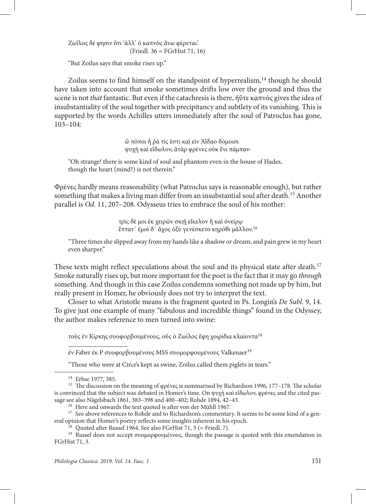Ζωΐλος δέ φησιν ὅτι 'ἀλλ' ὁ καπνὸς ἄνω φέρεται'. (Friedl. 36 = FGrHist 71, 16)

"But Zoilus says that smoke rises up."

Zoilus seems to find himself on the standpoint of hyperrealism,<sup>14</sup> though he should have taken into account that smoke sometimes drifts low over the ground and thus the scene is not *that* fantastic. But even if the catachresis is there, ἠΰτε καπνός gives the idea of insubstantiality of the soul together with precipitancy and subtlety of its vanishing. This is supported by the words Achilles utters immediately after the soul of Patroclus has gone, 103–104:

> ὢ πόποι ἦ ῥά τίς ἐστι καὶ εἰν Ἀΐδαο δόμοισι ψυχὴ καὶ εἴδωλον, ἀτὰρ φρένες οὐκ ἔνι πάμπαν·

"Oh strange! there is some kind of soul and phantom even in the house of Hades, though the heart (mind?) is not therein."

Φρένες hardly means reasonability (what Patroclus says is reasonable enough), but rather something that makes a living man differ from an insubstantial soul after death.15 Another parallel is *Od*. 11, 207–208. Odysseus tries to embrace the soul of his mother:

> τρὶς δέ μοι ἐκ χειρῶν σκιῇ εἴκελον ἢ καὶ ὀνείρῳ ἔπτατ᾽ ἐμοὶ δ᾽ ἄχος ὀξὺ γενέσκετο κηρόθι μᾶλλον.16

"Three times she slipped away from my hands like a shadow or dream; and pain grew in my heart even sharper."

These texts might reflect speculations about the soul and its physical state after death.<sup>17</sup> Smoke naturally rises up, but more important for the poet is the fact that it may go *through* something. And though in this case Zoilus condemns something not made up by him, but really present in Homer, he obviously does not try to interpret the text.

Closer to what Aristotle means is the fragment quoted in Ps. Longin's *De Subl.* 9, 14. To give just one example of many "fabulous and incredible things" found in the Odyssey, the author makes reference to men turned into swine:

τοὺς ἐν Κίρκης συοφορβουμένους, οὓς ὁ Ζωίλος ἔφη χοιρίδια κλαίοντα18

έν Faber έκ P συοφορβουμένους MSS συομορφουμένους Valkenaer<sup>19</sup>

"Those who were at Circe's kept as swine, Zoilus called them piglets in tears."

<sup>14</sup> Erbse 1977, 385.

<sup>&</sup>lt;sup>15</sup> The discussion on the meaning of φρένες is summarised by Richardson 1996, 177-178. The scholar is convinced that the subject was debated in Homer's time. On ψυχὴ καὶ εἴδωλον, φρένες and the cited passage see also Nägelsbach 1861, 383–398 and 400–402; Rohde 1894, 42–43.

<sup>16</sup> Here and onwards the text quoted is after von der Mühll 1967.

<sup>&</sup>lt;sup>17</sup> See above references to Rohde and to Richardson's commentary. It seems to be some kind of a general opinion that Homer's poetry reflects some insights inherent in his epoch.

 $^{18}$  Quoted after Russel 1964. See also FGrHist 71, 3 (= Friedl. 7).

<sup>&</sup>lt;sup>19</sup> Russel does not accept συομορφουμένους, though the passage is quoted with this emendation in FGrHist 71, 3.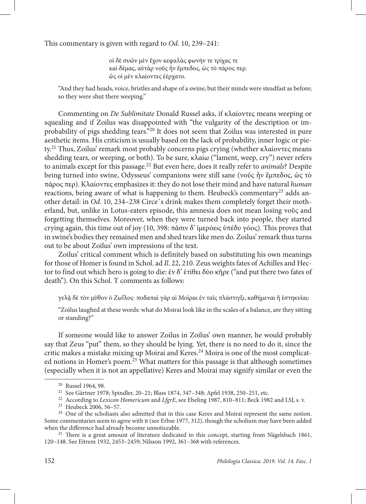This commentary is given with regard to *Od*. 10, 239–241:

οἱ δὲ συῶν μὲν ἔχον κεφαλὰς φωνήν τε τρίχας τε καὶ δέμας, αὐτὰρ νοῦς ἦν ἔμπεδος, ὡς τὸ πάρος περ. ὣς οἱ μὲν κλαίοντες ἐέρχατο.

"And they had heads, voice, bristles and shape of a swine; but their minds were steadfast as before; so they were shut there weeping."

Commenting on *De Sublimitate* Donald Russel asks, if κλαίοντες means weeping or squealing and if Zoilus was disappointed with "the vulgarity of the description or improbability of pigs shedding tears."20 It does not seem that Zoilus was interested in pure aesthetic items. His criticism is usually based on the lack of probability, inner logic or piety.<sup>21</sup> Thus, Zoilus' remark most probably concerns pigs crying (whether κλαίοντες means shedding tears, or weeping, or both). To be sure, κλαίω ("lament, weep, cry") never refers to animals except for this passage.22 But even here, does it really refer to *animals*? Despite being turned into swine, Odysseus' companions were still sane (νοῦς ἦν ἔμπεδος, ὡς τὸ πάρος περ). Κλαίοντες emphasizes it: they do not lose their mind and have natural *human* reactions, being aware of what is happening to them. Heubeck's commentary<sup>23</sup> adds another detail: in *Od*. 10, 234–238 Circe᾽s drink makes them completely forget their motherland, but, unlike in Lotus-eaters episode, this amnesia does not mean losing νοῦς and forgetting themselves. Moreover, when they were turned back into people, they started crying again, this time out of joy (10, 398: πᾶσιν δ' ἱμερόεις ὑπέδυ γόος). This proves that in swine's bodies they remained men and shed tears like men do. Zoilus' remark thus turns out to be about Zoilus' own impressions of the text.

Zoilus' critical comment which is definitely based on substituting his own meanings for those of Homer is found in Schol. ad *Il*. 22, 210. Zeus weights fates of Achilles and Hector to find out which hero is going to die: ἐν δ' ἐτίθει δύο κῆρε ("and put there two fates of death"). On this Schol. T comments as follows:

γελᾶ δὲ τὸν μῦθον ὁ Ζωΐλος· ποδαπαὶ γὰρ αί Μοῖραι ἐν ταῖς πλάστιγξι, καθήμεναι ἢ ἑστηκυῖαι;

"Zoilus laughed at these words: what do Moirai look like in the scales of a balance, are they sitting or standing?"

If someone would like to answer Zoilus in Zoilus' own manner, he would probably say that Zeus "put" them, so they should be lying. Yet, there is no need to do it, since the critic makes a mistake mixing up Moirai and Keres.<sup>24</sup> Moira is one of the most complicated notions in Homer's poem.25 What matters for this passage is that although sometimes (especially when it is not an appellative) Keres and Moirai may signify similar or even the

<sup>20</sup> Russel 1964, 98.

<sup>21</sup> See Gärtner 1978; Spindler, 20–21; Blass 1874, 347–348; Apfel 1938, 250–251, etc.

<sup>&</sup>lt;sup>22</sup> According to *Lexicon Homericum* and *LfgrE*, see Ebeling 1987, 810-811; Beck 1982 and LSJ, s. v.

<sup>23</sup> Heubeck 2006, 56–57.

<sup>&</sup>lt;sup>24</sup> One of the scholiasts also admitted that in this case Keres and Moirai represent the same notion. Some commentaries seem to agree with it (see Erbse 1977, 312), though the scholium may have been added when the difference had already become unnoticeable.<br><sup>25</sup> There is a great amount of literature dedicated to this concept, starting from Nägelsbach 1861,

<sup>120–148.</sup> See Eitrem 1932, 2453–2459; Nilsson 1992, 361–368 with references.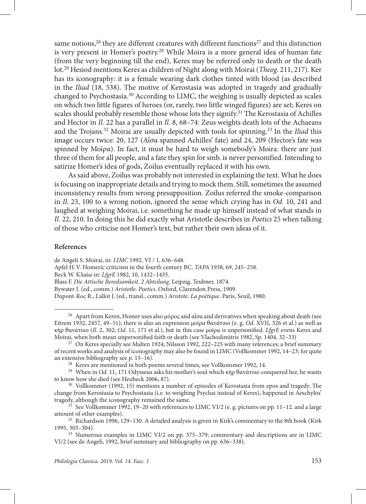same notions,<sup>26</sup> they are different creatures with different functions<sup>27</sup> and this distinction is very present in Homer's poetry.<sup>28</sup> While Moira is a more general idea of human fate (from the very beginning till the end), Keres may be referred only to death or the death lot.29 Hesiod mentions Keres as children of Night along with Moirai (*Theog*. 211, 217). Ker has its iconography: it is a female wearing dark clothes tinted with blood (as described in the *Iliad* (18, 538). The motive of Kerostasia was adopted in tragedy and gradually changed to Psychostasia.30 According to LIMC, the weighing is usually depicted as scales on which two little figures of heroes (or, rarely, two little winged figures) are set; Keres on scales should probably resemble those whose lots they signify.<sup>31</sup> The Kerostasia of Achilles and Hector in *Il.* 22 has a parallel in *Il.* 8, 68–74: Zeus weights death lots of the Achaeans and the Trojans.32 Moirai are usually depicted with tools for spinning.33 In the *Iliad* this image occurs twice: 20, 127 (Αἶσα spanned Achilles' fate) and 24, 209 (Hector's fate was spinned by Μοῖρα). In fact, it must be hard to weigh somebody's Moira: there are just three of them for all people, and a fate they spin for smb. is never personified. Intending to satirize Homer's idea of gods, Zoilus eventually replaced it with his own.

As said above, Zoilus was probably not interested in explaining the text. What he does is focusing on inappropriate details and trying to mock them. Still, sometimes the assumed inconsistency results from wrong presupposition. Zoilus referred the smoke-comparison in *Il.* 23, 100 to a wrong notion, ignored the sense which crying has in *Od.* 10, 241 and laughed at weighing Moirai, i.e. something he made up himself instead of what stands in *Il*. 22, 210. In doing this he did exactly what Aristotle describes in *Poetics* 25 when talking of those who criticise not Homer's text, but rather their own ideas of it.

## **References**

de Angeli S. Moirai, in: *LIMC* 1992, VI / 1, 636–648.

Apfel H.V. Homeric criticism in the fourth century BC. *TAPA* 1938, 69, 245–258.

Beck W. Κλαίω in: *LfgrE* 1982, 10, 1432–1435.

Blass F. *Die Attische Beredsamkeit. 2 Abteilung*. Leipzig, Teubner, 1874.

Bywater I. (ed., comm.) *Aristotle. Poetics*. Oxford, Clarendon Press, 1909.

Dupont-Roc R., Lallot J. (ed., transl., comm.) *Aristote. La poétique*. Paris, Seuil, 1980.

<sup>&</sup>lt;sup>26</sup> Apart from Keren, Homer uses also μόρος and αἶσα and derivatives when speaking about death (see Eitrem 1932, 2457, 49–51); there is also an expression μοῖρα θανάτοιο (e. g. *Od*. XVII, 326 et al.) as well as κὴρ θανάτοιο (*Il*. 2, 302; *Od*. 11, 171 et al.), but in this case μοῖρα is unpersonified. *LfgrE* evens Keres and Moirai, when both mean unpersonified faith or death (see Vlachodimitris 1982, Sp. 1404, 32–33)

 $27$  On Keres specially see Malten 1924; Nilsson 1992, 222–225 with many references; a brief summary of recent works and analysis of iconography may also be found in LIMC (Vollkommer 1992, 14–23; for quite an extensive bibliography see p. 15–16).

<sup>28</sup> Keres are mentioned in both poems several times, see Vollkommer 1992, 14.

<sup>&</sup>lt;sup>29</sup> When in *Od*. 11, 171 Odysseus asks his mother's soul which κὴρ θανάτοιο conquered her, he wants to know how she died (see Heubeck 2006, 87).

<sup>&</sup>lt;sup>30</sup> Vollkommer (1992, 15) mentions a number of episodes of Kerostasia from epos and tragedy. The change from Kerostasia to Psychostasia (i.e. to weighing Psychai instead of Keres), happened in Aeschylos'

<sup>&</sup>lt;sup>31</sup> See Vollkommer 1992, 19–20 with references to LIMC VI/2 (e. g. pictures on pp. 11–12. and a large amount of other examples).

<sup>&</sup>lt;sup>32</sup> Richardson 1996, 129–130. A detailed analysis is given in Kirk's commentary to the 8th book (Kirk 1995, 303–304).

<sup>33</sup> Numerous examples in LIMC VI/2 on pp. 375–379; commentary and descriptions are in LIMC VI/2 (see de Angeli, 1992, brief summary and bibliography on pp. 636–338).